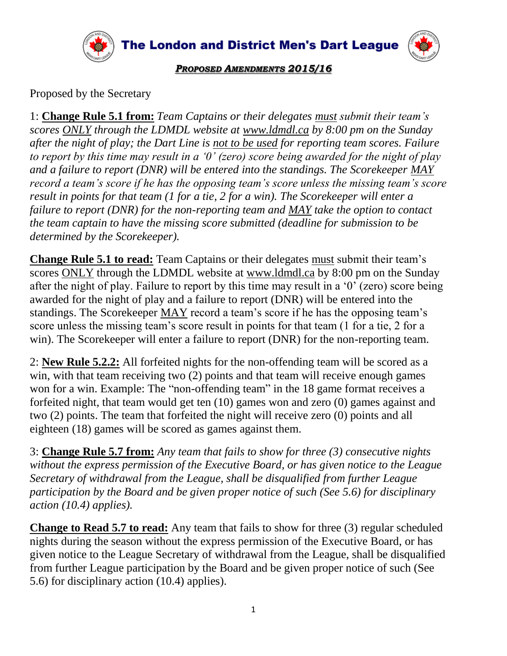

The London and District Men's Dart League



## *PROPOSED AMENDMENTS 2015/16*

Proposed by the Secretary

1: **Change Rule 5.1 from:** *Team Captains or their delegates must submit their team's scores ONLY through the LDMDL website at www.ldmdl.ca by 8:00 pm on the Sunday after the night of play; the Dart Line is not to be used for reporting team scores. Failure to report by this time may result in a '0' (zero) score being awarded for the night of play and a failure to report (DNR) will be entered into the standings. The Scorekeeper MAY record a team's score if he has the opposing team's score unless the missing team's score result in points for that team (1 for a tie, 2 for a win). The Scorekeeper will enter a failure to report (DNR) for the non-reporting team and MAY take the option to contact the team captain to have the missing score submitted (deadline for submission to be determined by the Scorekeeper).*

**Change Rule 5.1 to read:** Team Captains or their delegates must submit their team's scores ONLY through the LDMDL website at www.ldmdl.ca by 8:00 pm on the Sunday after the night of play. Failure to report by this time may result in a '0' (zero) score being awarded for the night of play and a failure to report (DNR) will be entered into the standings. The Scorekeeper MAY record a team's score if he has the opposing team's score unless the missing team's score result in points for that team (1 for a tie, 2 for a win). The Scorekeeper will enter a failure to report (DNR) for the non-reporting team.

2: **New Rule 5.2.2:** All forfeited nights for the non-offending team will be scored as a win, with that team receiving two (2) points and that team will receive enough games won for a win. Example: The "non-offending team" in the 18 game format receives a forfeited night, that team would get ten (10) games won and zero (0) games against and two (2) points. The team that forfeited the night will receive zero (0) points and all eighteen (18) games will be scored as games against them.

3: **Change Rule 5.7 from:** *Any team that fails to show for three (3) consecutive nights without the express permission of the Executive Board, or has given notice to the League Secretary of withdrawal from the League, shall be disqualified from further League participation by the Board and be given proper notice of such (See 5.6) for disciplinary action (10.4) applies).*

**Change to Read 5.7 to read:** Any team that fails to show for three (3) regular scheduled nights during the season without the express permission of the Executive Board, or has given notice to the League Secretary of withdrawal from the League, shall be disqualified from further League participation by the Board and be given proper notice of such (See 5.6) for disciplinary action (10.4) applies).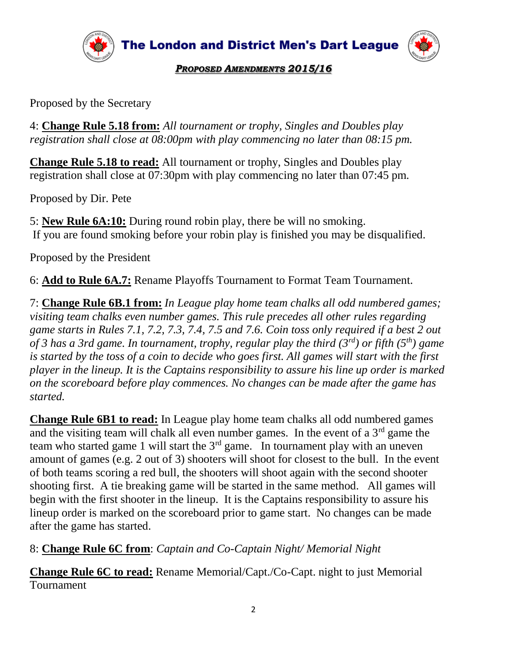

The London and District Men's Dart League



*PROPOSED AMENDMENTS 2015/16*

Proposed by the Secretary

4: **Change Rule 5.18 from:** *All tournament or trophy, Singles and Doubles play registration shall close at 08:00pm with play commencing no later than 08:15 pm.* 

**Change Rule 5.18 to read:** All tournament or trophy, Singles and Doubles play registration shall close at 07:30pm with play commencing no later than 07:45 pm.

Proposed by Dir. Pete

5: **New Rule 6A:10:** During round robin play, there be will no smoking. If you are found smoking before your robin play is finished you may be disqualified.

Proposed by the President

6: **Add to Rule 6A.7:** Rename Playoffs Tournament to Format Team Tournament.

7: **Change Rule 6B.1 from:** *In League play home team chalks all odd numbered games; visiting team chalks even number games. This rule precedes all other rules regarding game starts in Rules 7.1, 7.2, 7.3, 7.4, 7.5 and 7.6. Coin toss only required if a best 2 out of 3 has a 3rd game. In tournament, trophy, regular play the third (3rd) or fifth (5th) game is started by the toss of a coin to decide who goes first. All games will start with the first player in the lineup. It is the Captains responsibility to assure his line up order is marked on the scoreboard before play commences. No changes can be made after the game has started.* 

**Change Rule 6B1 to read:** In League play home team chalks all odd numbered games and the visiting team will chalk all even number games. In the event of a  $3<sup>rd</sup>$  game the team who started game 1 will start the  $3<sup>rd</sup>$  game. In tournament play with an uneven amount of games (e.g. 2 out of 3) shooters will shoot for closest to the bull. In the event of both teams scoring a red bull, the shooters will shoot again with the second shooter shooting first. A tie breaking game will be started in the same method. All games will begin with the first shooter in the lineup. It is the Captains responsibility to assure his lineup order is marked on the scoreboard prior to game start. No changes can be made after the game has started.

8: **Change Rule 6C from**: *Captain and Co-Captain Night/ Memorial Night*

**Change Rule 6C to read:** Rename Memorial/Capt./Co-Capt. night to just Memorial **Tournament**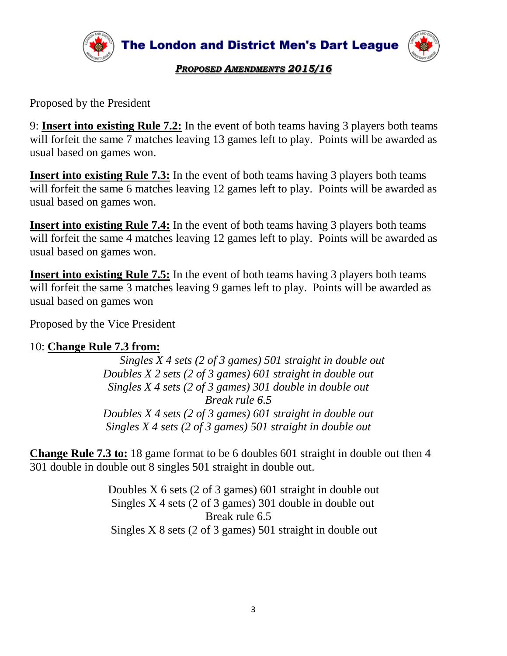

*PROPOSED AMENDMENTS 2015/16*

Proposed by the President

9: **Insert into existing Rule 7.2:** In the event of both teams having 3 players both teams will forfeit the same 7 matches leaving 13 games left to play. Points will be awarded as usual based on games won.

**Insert into existing Rule 7.3:** In the event of both teams having 3 players both teams will forfeit the same 6 matches leaving 12 games left to play. Points will be awarded as usual based on games won.

**Insert into existing Rule 7.4:** In the event of both teams having 3 players both teams will forfeit the same 4 matches leaving 12 games left to play. Points will be awarded as usual based on games won.

**Insert into existing Rule 7.5:** In the event of both teams having 3 players both teams will forfeit the same 3 matches leaving 9 games left to play. Points will be awarded as usual based on games won

Proposed by the Vice President

## 10: **Change Rule 7.3 from:**

 *Singles X 4 sets (2 of 3 games) 501 straight in double out Doubles X 2 sets (2 of 3 games) 601 straight in double out Singles X 4 sets (2 of 3 games) 301 double in double out Break rule 6.5 Doubles X 4 sets (2 of 3 games) 601 straight in double out Singles X 4 sets (2 of 3 games) 501 straight in double out*

**Change Rule 7.3 to:** 18 game format to be 6 doubles 601 straight in double out then 4 301 double in double out 8 singles 501 straight in double out.

> Doubles X 6 sets (2 of 3 games) 601 straight in double out Singles X 4 sets (2 of 3 games) 301 double in double out Break rule 6.5 Singles X 8 sets (2 of 3 games) 501 straight in double out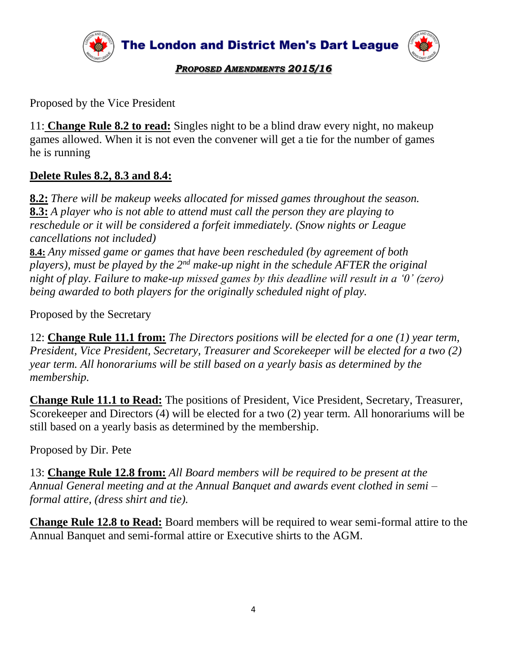

Proposed by the Vice President

11: **Change Rule 8.2 to read:** Singles night to be a blind draw every night, no makeup games allowed. When it is not even the convener will get a tie for the number of games he is running

## **Delete Rules 8.2, 8.3 and 8.4:**

**8.2:** *There will be makeup weeks allocated for missed games throughout the season.* **8.3:** *A player who is not able to attend must call the person they are playing to reschedule or it will be considered a forfeit immediately. (Snow nights or League cancellations not included)*

**8.4:** *Any missed game or games that have been rescheduled (by agreement of both players), must be played by the 2nd make-up night in the schedule AFTER the original night of play. Failure to make-up missed games by this deadline will result in a '0' (zero) being awarded to both players for the originally scheduled night of play.*

Proposed by the Secretary

12: **Change Rule 11.1 from:** *The Directors positions will be elected for a one (1) year term, President, Vice President, Secretary, Treasurer and Scorekeeper will be elected for a two (2) year term. All honorariums will be still based on a yearly basis as determined by the membership.*

**Change Rule 11.1 to Read:** The positions of President, Vice President, Secretary, Treasurer, Scorekeeper and Directors (4) will be elected for a two (2) year term*.* All honorariums will be still based on a yearly basis as determined by the membership.

Proposed by Dir. Pete

13: **Change Rule 12.8 from:** *All Board members will be required to be present at the Annual General meeting and at the Annual Banquet and awards event clothed in semi – formal attire, (dress shirt and tie).* 

**Change Rule 12.8 to Read:** Board members will be required to wear semi-formal attire to the Annual Banquet and semi-formal attire or Executive shirts to the AGM.